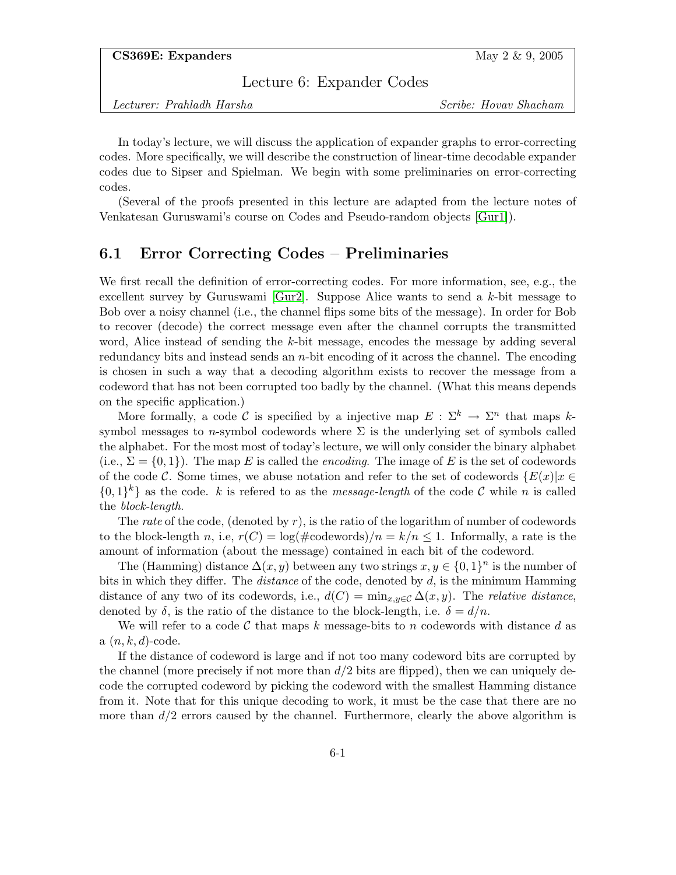Lecture 6: Expander Codes

Lecturer: Prahladh Harsha Scribe: Hovav Shacham

In today's lecture, we will discuss the application of expander graphs to error-correcting codes. More specifically, we will describe the construction of linear-time decodable expander codes due to Sipser and Spielman. We begin with some preliminaries on error-correcting codes.

(Several of the proofs presented in this lecture are adapted from the lecture notes of Venkatesan Guruswami's course on Codes and Pseudo-random objects [\[Gur1\]](#page-6-0)).

# 6.1 Error Correcting Codes – Preliminaries

We first recall the definition of error-correcting codes. For more information, see, e.g., the excellent survey by Guruswami  $[Gur2]$ . Suppose Alice wants to send a k-bit message to Bob over a noisy channel (i.e., the channel flips some bits of the message). In order for Bob to recover (decode) the correct message even after the channel corrupts the transmitted word, Alice instead of sending the k-bit message, encodes the message by adding several redundancy bits and instead sends an  $n$ -bit encoding of it across the channel. The encoding is chosen in such a way that a decoding algorithm exists to recover the message from a codeword that has not been corrupted too badly by the channel. (What this means depends on the specific application.)

More formally, a code C is specified by a injective map  $E : \Sigma^k \to \Sigma^n$  that maps ksymbol messages to n-symbol codewords where  $\Sigma$  is the underlying set of symbols called the alphabet. For the most most of today's lecture, we will only consider the binary alphabet (i.e.,  $\Sigma = \{0,1\}$ ). The map E is called the *encoding*. The image of E is the set of codewords of the code C. Some times, we abuse notation and refer to the set of codewords  $\{E(x)|x \in$  $\{0,1\}^k\}$  as the code. k is refered to as the *message-length* of the code C while n is called the block-length.

The rate of the code, (denoted by  $r$ ), is the ratio of the logarithm of number of codewords to the block-length n, i.e,  $r(C) = \log(\text{\#codewords})/n = k/n \leq 1$ . Informally, a rate is the amount of information (about the message) contained in each bit of the codeword.

The (Hamming) distance  $\Delta(x, y)$  between any two strings  $x, y \in \{0, 1\}^n$  is the number of bits in which they differ. The *distance* of the code, denoted by  $d$ , is the minimum Hamming distance of any two of its codewords, i.e.,  $d(C) = \min_{x,y \in C} \Delta(x,y)$ . The relative distance, denoted by  $\delta$ , is the ratio of the distance to the block-length, i.e.  $\delta = d/n$ .

We will refer to a code C that maps k message-bits to n codewords with distance d as  $a(n, k, d)$ -code.

If the distance of codeword is large and if not too many codeword bits are corrupted by the channel (more precisely if not more than  $d/2$  bits are flipped), then we can uniquely decode the corrupted codeword by picking the codeword with the smallest Hamming distance from it. Note that for this unique decoding to work, it must be the case that there are no more than  $d/2$  errors caused by the channel. Furthermore, clearly the above algorithm is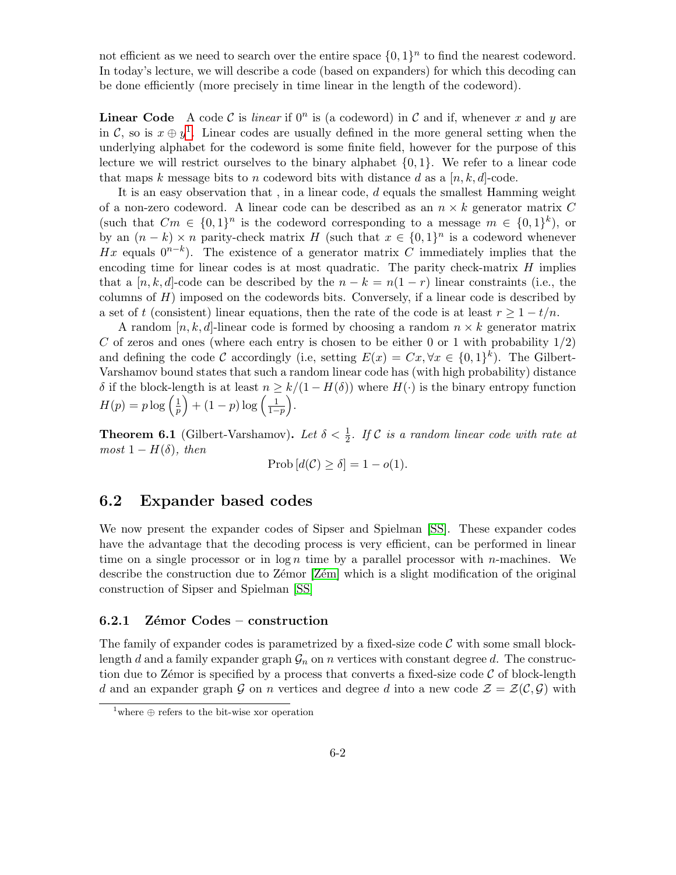not efficient as we need to search over the entire space  $\{0,1\}^n$  to find the nearest codeword. In today's lecture, we will describe a code (based on expanders) for which this decoding can be done efficiently (more precisely in time linear in the length of the codeword).

**Linear Code** A code C is *linear* if  $0^n$  is (a codeword) in C and if, whenever x and y are in C, so is  $x \oplus y^1$  $x \oplus y^1$ . Linear codes are usually defined in the more general setting when the underlying alphabet for the codeword is some finite field, however for the purpose of this lecture we will restrict ourselves to the binary alphabet  $\{0, 1\}$ . We refer to a linear code that maps k message bits to n codeword bits with distance d as a  $[n, k, d]$ -code.

It is an easy observation that , in a linear code, d equals the smallest Hamming weight of a non-zero codeword. A linear code can be described as an  $n \times k$  generator matrix C (such that  $Cm \in \{0,1\}^n$  is the codeword corresponding to a message  $m \in \{0,1\}^k$ ), or by an  $(n - k) \times n$  parity-check matrix H (such that  $x \in \{0, 1\}^n$  is a codeword whenever Hx equals  $0^{n-k}$ ). The existence of a generator matrix C immediately implies that the encoding time for linear codes is at most quadratic. The parity check-matrix  $H$  implies that a [n, k, d]-code can be described by the  $n - k = n(1 - r)$  linear constraints (i.e., the columns of  $H$ ) imposed on the codewords bits. Conversely, if a linear code is described by a set of t (consistent) linear equations, then the rate of the code is at least  $r \geq 1 - t/n$ .

A random  $[n, k, d]$ -linear code is formed by choosing a random  $n \times k$  generator matrix C of zeros and ones (where each entry is chosen to be either 0 or 1 with probability  $1/2$ ) and defining the code C accordingly (i.e, setting  $E(x) = Cx, \forall x \in \{0,1\}^k$ ). The Gilbert-Varshamov bound states that such a random linear code has (with high probability) distance δ if the block-length is at least  $n ≥ k/(1 - H(δ))$  where  $H(·)$  is the binary entropy function  $H(p) = p \log \left( \frac{1}{p} \right)$  $\frac{1}{p}$  + (1 – p) log  $\left(\frac{1}{1-p}\right)$ .

**Theorem 6.1** (Gilbert-Varshamov). Let  $\delta < \frac{1}{2}$ . If C is a random linear code with rate at  $most\ 1-H(\delta)$ , then

$$
Prob[d(\mathcal{C}) \ge \delta] = 1 - o(1).
$$

### 6.2 Expander based codes

We now present the expander codes of Sipser and Spielman [\[SS\]](#page-6-2). These expander codes have the advantage that the decoding process is very efficient, can be performed in linear time on a single processor or in  $\log n$  time by a parallel processor with *n*-machines. We describe the construction due to Zemor [Zem] which is a slight modification of the original construction of Sipser and Spielman [\[SS\]](#page-6-2)

#### $6.2.1$  Zémor Codes – construction

The family of expander codes is parametrized by a fixed-size code  $\mathcal C$  with some small blocklength d and a family expander graph  $\mathcal{G}_n$  on n vertices with constant degree d. The construction due to Zémor is specified by a process that converts a fixed-size code  $\mathcal C$  of block-length d and an expander graph G on n vertices and degree d into a new code  $\mathcal{Z} = \mathcal{Z}(\mathcal{C}, \mathcal{G})$  with

<span id="page-1-0"></span><sup>&</sup>lt;sup>1</sup>where  $\oplus$  refers to the bit-wise xor operation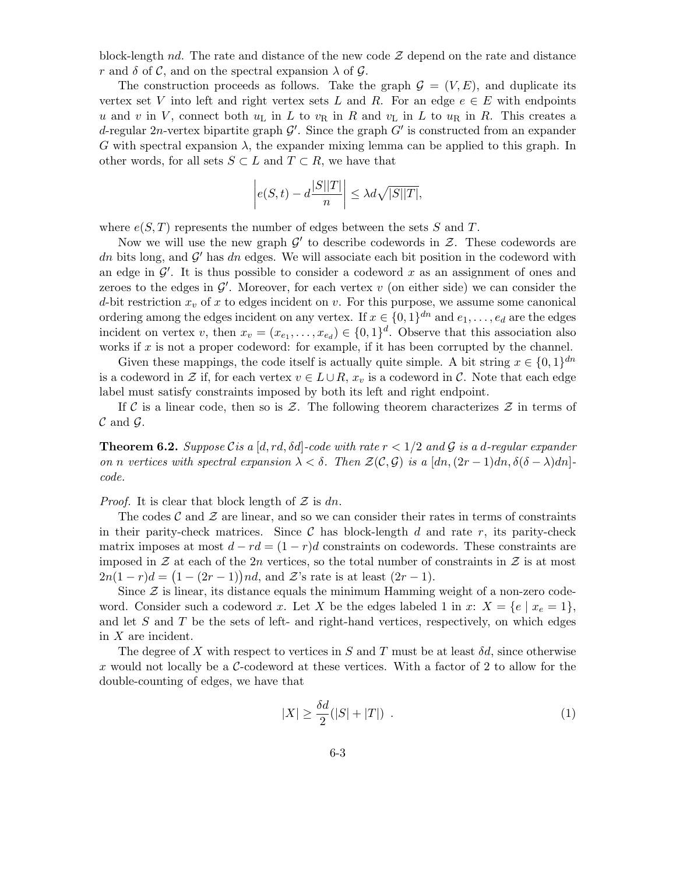block-length nd. The rate and distance of the new code  $\mathcal Z$  depend on the rate and distance r and  $\delta$  of C, and on the spectral expansion  $\lambda$  of G.

The construction proceeds as follows. Take the graph  $\mathcal{G} = (V, E)$ , and duplicate its vertex set V into left and right vertex sets L and R. For an edge  $e \in E$  with endpoints u and v in V, connect both  $u<sub>L</sub>$  in L to  $v<sub>R</sub>$  in R and  $v<sub>L</sub>$  in L to  $u<sub>R</sub>$  in R. This creates a d-regular 2n-vertex bipartite graph  $\mathcal{G}'$ . Since the graph  $G'$  is constructed from an expander G with spectral expansion  $\lambda$ , the expander mixing lemma can be applied to this graph. In other words, for all sets  $S \subset L$  and  $T \subset R$ , we have that

$$
\left| e(S,t) - d \frac{|S||T|}{n} \right| \le \lambda d \sqrt{|S||T|},
$$

where  $e(S, T)$  represents the number of edges between the sets S and T.

Now we will use the new graph  $\mathcal{G}'$  to describe codewords in  $\mathcal{Z}$ . These codewords are dn bits long, and  $\mathcal{G}'$  has dn edges. We will associate each bit position in the codeword with an edge in  $\mathcal{G}'$ . It is thus possible to consider a codeword x as an assignment of ones and zeroes to the edges in  $\mathcal{G}'$ . Moreover, for each vertex v (on either side) we can consider the d-bit restriction  $x_v$  of x to edges incident on v. For this purpose, we assume some canonical ordering among the edges incident on any vertex. If  $x \in \{0,1\}^{dn}$  and  $e_1, \ldots, e_d$  are the edges incident on vertex v, then  $x_v = (x_{e_1}, \ldots, x_{e_d}) \in \{0,1\}^d$ . Observe that this association also works if  $x$  is not a proper codeword: for example, if it has been corrupted by the channel.

Given these mappings, the code itself is actually quite simple. A bit string  $x \in \{0,1\}^{dn}$ is a codeword in Z if, for each vertex  $v \in L \cup R$ ,  $x_v$  is a codeword in C. Note that each edge label must satisfy constraints imposed by both its left and right endpoint.

If C is a linear code, then so is Z. The following theorem characterizes  $Z$  in terms of  $\mathcal C$  and  $\mathcal G$ .

**Theorem 6.2.** Suppose Cis a [d, rd,  $\delta d$ ]-code with rate  $r < 1/2$  and G is a d-regular expander on n vertices with spectral expansion  $\lambda < \delta$ . Then  $\mathcal{Z}(\mathcal{C}, \mathcal{G})$  is a  $[dn,(2r-1)dn,\delta(\delta-\lambda)dn]$ code.

*Proof.* It is clear that block length of  $\mathcal Z$  is dn.

The codes  $\mathcal C$  and  $\mathcal Z$  are linear, and so we can consider their rates in terms of constraints in their parity-check matrices. Since  $\mathcal C$  has block-length d and rate r, its parity-check matrix imposes at most  $d - rd = (1 - r)d$  constraints on codewords. These constraints are imposed in Z at each of the 2n vertices, so the total number of constraints in Z is at most  $2n(1 - r)d = (1 - (2r - 1))nd$ , and  $\mathcal{Z}$ 's rate is at least  $(2r - 1)$ .

Since  $\mathcal Z$  is linear, its distance equals the minimum Hamming weight of a non-zero codeword. Consider such a codeword x. Let X be the edges labeled 1 in x:  $X = \{e \mid x_e = 1\},\$ and let  $S$  and  $T$  be the sets of left- and right-hand vertices, respectively, on which edges in  $X$  are incident.

The degree of X with respect to vertices in S and T must be at least  $\delta d$ , since otherwise x would not locally be a  $\mathcal{C}\text{-codeword}$  at these vertices. With a factor of 2 to allow for the double-counting of edges, we have that

<span id="page-2-0"></span>
$$
|X| \ge \frac{\delta d}{2}(|S| + |T|) \tag{1}
$$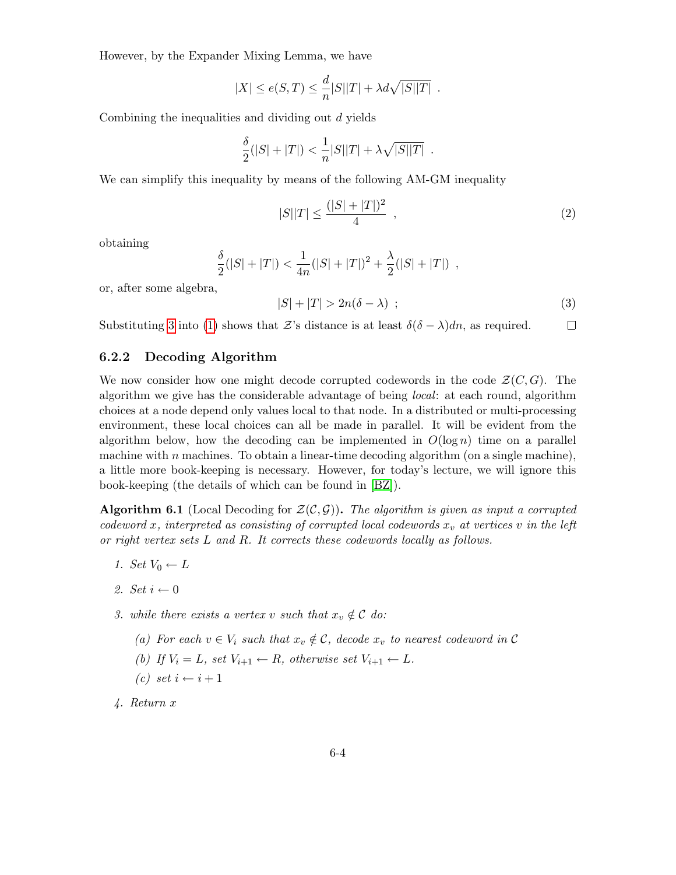However, by the Expander Mixing Lemma, we have

$$
|X| \le e(S,T) \le \frac{d}{n}|S||T| + \lambda d\sqrt{|S||T|} .
$$

Combining the inequalities and dividing out d yields

$$
\frac{\delta}{2}(|S|+|T|) < \frac{1}{n}|S||T| + \lambda \sqrt{|S||T|} \; .
$$

We can simplify this inequality by means of the following AM-GM inequality

<span id="page-3-2"></span>
$$
|S||T| \le \frac{(|S| + |T|)^2}{4} \tag{2}
$$

obtaining

<span id="page-3-0"></span>
$$
\frac{\delta}{2}(|S|+|T|) < \frac{1}{4n}(|S|+|T|)^2 + \frac{\lambda}{2}(|S|+|T|) \enspace ,
$$

or, after some algebra,

$$
|S| + |T| > 2n(\delta - \lambda) \tag{3}
$$

Substituting [3](#page-3-0) into [\(1\)](#page-2-0) shows that Z's distance is at least  $\delta(\delta - \lambda)dn$ , as required.  $\Box$ 

### 6.2.2 Decoding Algorithm

We now consider how one might decode corrupted codewords in the code  $\mathcal{Z}(C, G)$ . The algorithm we give has the considerable advantage of being local: at each round, algorithm choices at a node depend only values local to that node. In a distributed or multi-processing environment, these local choices can all be made in parallel. It will be evident from the algorithm below, how the decoding can be implemented in  $O(\log n)$  time on a parallel machine with n machines. To obtain a linear-time decoding algorithm (on a single machine), a little more book-keeping is necessary. However, for today's lecture, we will ignore this book-keeping (the details of which can be found in [\[BZ\]](#page-6-4)).

<span id="page-3-1"></span>**Algorithm 6.1** (Local Decoding for  $\mathcal{Z}(\mathcal{C}, \mathcal{G})$ ). The algorithm is given as input a corrupted codeword x, interpreted as consisting of corrupted local codewords  $x_v$  at vertices v in the left or right vertex sets L and R. It corrects these codewords locally as follows.

- 1. Set  $V_0 \leftarrow L$
- 2. Set  $i \leftarrow 0$
- 3. while there exists a vertex v such that  $x_v \notin \mathcal{C}$  do:
	- (a) For each  $v \in V_i$  such that  $x_v \notin \mathcal{C}$ , decode  $x_v$  to nearest codeword in  $\mathcal{C}$
	- (b) If  $V_i = L$ , set  $V_{i+1} \leftarrow R$ , otherwise set  $V_{i+1} \leftarrow L$ .
	- $(c) \text{ set } i \leftarrow i + 1$
- 4. Return x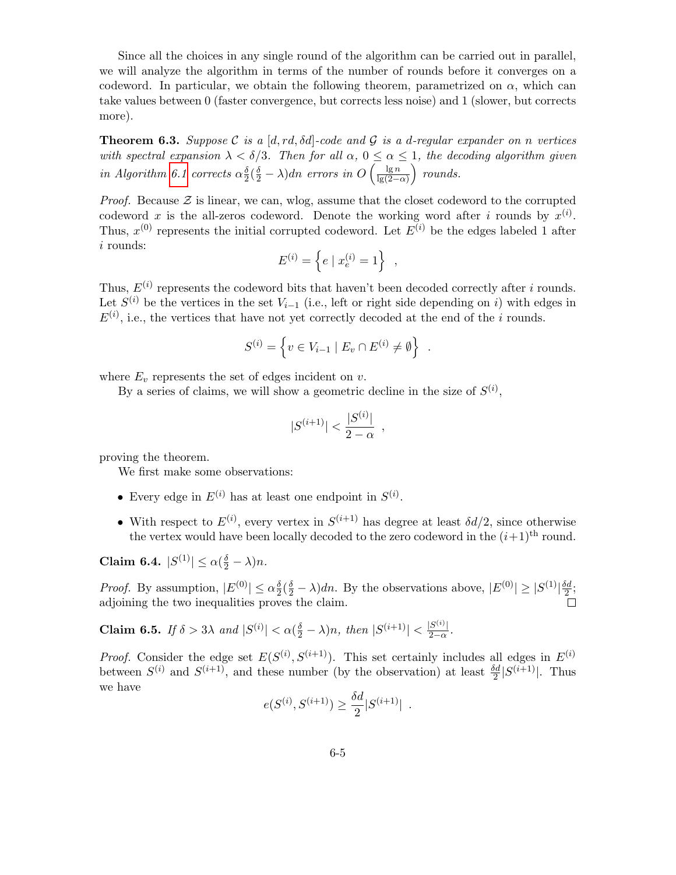Since all the choices in any single round of the algorithm can be carried out in parallel, we will analyze the algorithm in terms of the number of rounds before it converges on a codeword. In particular, we obtain the following theorem, parametrized on  $\alpha$ , which can take values between 0 (faster convergence, but corrects less noise) and 1 (slower, but corrects more).

**Theorem 6.3.** Suppose C is a [d, rd,  $\delta d$ ]-code and G is a d-regular expander on n vertices with spectral expansion  $\lambda < \delta/3$ . Then for all  $\alpha, 0 \leq \alpha \leq 1$ , the decoding algorithm given in Algorithm [6.1](#page-3-1) corrects  $\alpha_2^{\delta}$  $\frac{\delta}{2}(\frac{\delta}{2}-\lambda)dn$  errors in  $O\left(\frac{\lg n}{\lg(2-\delta)}\right)$  $rac{\lg n}{\lg(2-\alpha)}$  rounds.

*Proof.* Because  $\mathcal{Z}$  is linear, we can, wlog, assume that the closet codeword to the corrupted codeword x is the all-zeros codeword. Denote the working word after i rounds by  $x^{(i)}$ . Thus,  $x^{(0)}$  represents the initial corrupted codeword. Let  $E^{(i)}$  be the edges labeled 1 after i rounds:

$$
E^{(i)} = \left\{ e \mid x_e^{(i)} = 1 \right\} ,
$$

Thus,  $E^{(i)}$  represents the codeword bits that haven't been decoded correctly after i rounds. Let  $S^{(i)}$  be the vertices in the set  $V_{i-1}$  (i.e., left or right side depending on i) with edges in  $E^{(i)}$ , i.e., the vertices that have not yet correctly decoded at the end of the *i* rounds.

$$
S^{(i)} = \left\{ v \in V_{i-1} \mid E_v \cap E^{(i)} \neq \emptyset \right\} .
$$

where  $E_v$  represents the set of edges incident on  $v$ .

By a series of claims, we will show a geometric decline in the size of  $S^{(i)}$ ,

$$
|S^{(i+1)}| < \frac{|S^{(i)}|}{2 - \alpha} \enspace,
$$

proving the theorem.

We first make some observations:

- Every edge in  $E^{(i)}$  has at least one endpoint in  $S^{(i)}$ .
- With respect to  $E^{(i)}$ , every vertex in  $S^{(i+1)}$  has degree at least  $\delta d/2$ , since otherwise the vertex would have been locally decoded to the zero codeword in the  $(i+1)$ <sup>th</sup> round.

Claim 6.4.  $|S^{(1)}| \le \alpha(\frac{\delta}{2} - \lambda)n$ .

*Proof.* By assumption,  $|E^{(0)}| \le \alpha \frac{\delta}{2}$  $\frac{\delta}{2}(\frac{\delta}{2} - \lambda)dn$ . By the observations above,  $|E^{(0)}| \ge |S^{(1)}|\frac{\delta d}{2}$  $\frac{6}{2}$ ; adjoining the two inequalities proves the claim.

Claim 6.5. If  $\delta > 3\lambda$  and  $|S^{(i)}| < \alpha(\frac{\delta}{2} - \lambda)n$ , then  $|S^{(i+1)}| < \frac{|S^{(i)}|}{2-\alpha}$  $\frac{3^{(1)}-1}{2-\alpha}$ .

*Proof.* Consider the edge set  $E(S^{(i)}, S^{(i+1)})$ . This set certainly includes all edges in  $E^{(i)}$ between  $S^{(i)}$  and  $S^{(i+1)}$ , and these number (by the observation) at least  $\frac{\delta d}{2} |S^{(i+1)}|$ . Thus we have

$$
e(S^{(i)}, S^{(i+1)}) \ge \frac{\delta d}{2} |S^{(i+1)}|
$$
.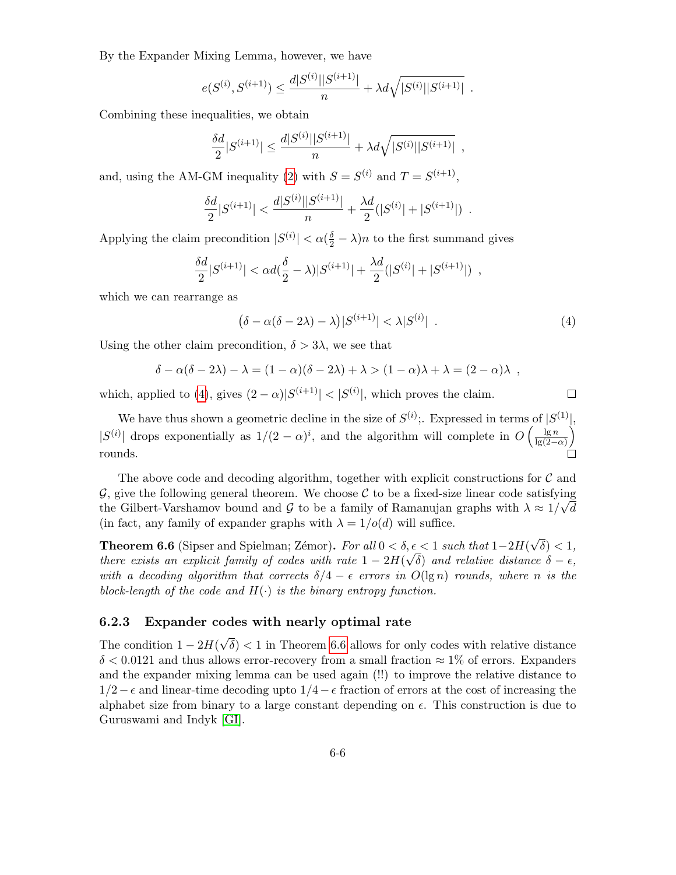By the Expander Mixing Lemma, however, we have

$$
e(S^{(i)}, S^{(i+1)}) \leq \frac{d|S^{(i)}||S^{(i+1)}|}{n} + \lambda d\sqrt{|S^{(i)}||S^{(i+1)}|}.
$$

Combining these inequalities, we obtain

$$
\frac{\delta d}{2}|S^{(i+1)}| \le \frac{d|S^{(i)}||S^{(i+1)}|}{n} + \lambda d\sqrt{|S^{(i)}||S^{(i+1)}|} ,
$$

and, using the AM-GM inequality [\(2\)](#page-3-2) with  $S = S^{(i)}$  and  $T = S^{(i+1)}$ ,

$$
\frac{\delta d}{2}|S^{(i+1)}| < \frac{d|S^{(i)}||S^{(i+1)}|}{n} + \frac{\lambda d}{2}(|S^{(i)}| + |S^{(i+1)}|) \enspace .
$$

Applying the claim precondition  $|S^{(i)}| < \alpha(\frac{\delta}{2} - \lambda)n$  to the first summand gives

$$
\frac{\delta d}{2}|S^{(i+1)}| < \alpha d(\frac{\delta}{2} - \lambda)|S^{(i+1)}| + \frac{\lambda d}{2}(|S^{(i)}| + |S^{(i+1)}|) \enspace ,
$$

which we can rearrange as

<span id="page-5-0"></span>
$$
(\delta - \alpha(\delta - 2\lambda) - \lambda)|S^{(i+1)}| < \lambda|S^{(i)}| \tag{4}
$$

 $\Box$ 

Using the other claim precondition,  $\delta > 3\lambda$ , we see that

$$
\delta - \alpha(\delta - 2\lambda) - \lambda = (1 - \alpha)(\delta - 2\lambda) + \lambda > (1 - \alpha)\lambda + \lambda = (2 - \alpha)\lambda,
$$

which, applied to [\(4\)](#page-5-0), gives  $(2 - \alpha)|S^{(i+1)}| < |S^{(i)}|$ , which proves the claim.

We have thus shown a geometric decline in the size of  $S^{(i)}$ ; Expressed in terms of  $|S^{(1)}|$ ,  $|S^{(i)}|$  drops exponentially as  $1/(2-\alpha)^i$ , and the algorithm will complete in  $O\left(\frac{\lg n}{\log(2-\alpha)}\right)$  $rac{\lg n}{\lg(2-\alpha)}$ rounds.

The above code and decoding algorithm, together with explicit constructions for  $\mathcal C$  and  $\mathcal{G}$ , give the following general theorem. We choose  $\mathcal{C}$  to be a fixed-size linear code satisfying the Gilbert-Varshamov bound and G to be a family of Ramanujan graphs with  $\lambda \approx 1/\sqrt{d}$ (in fact, any family of expander graphs with  $\lambda = 1/\rho(d)$  will suffice.

<span id="page-5-1"></span>**Theorem 6.6** (Sipser and Spielman; Zémor). For all  $0 < \delta, \epsilon < 1$  such that  $1-2H($ √  $\delta, \epsilon < 1$  such that  $1-2H(\sqrt{\delta}) < 1$ , there exists an explicit family of codes with rate  $1-2H(\sqrt{\delta})$  and relative distance  $\delta-\epsilon$ , with a decoding algorithm that corrects  $\delta/4 - \epsilon$  errors in  $O(\lg n)$  rounds, where n is the block-length of the code and  $H(\cdot)$  is the binary entropy function.

### 6.2.3 Expander codes with nearly optimal rate

The condition  $1 - 2H($ √  $\delta$ ) < 1 in Theorem [6.6](#page-5-1) allows for only codes with relative distance  $\delta$  < 0.0121 and thus allows error-recovery from a small fraction  $\approx$  1% of errors. Expanders and the expander mixing lemma can be used again (!!) to improve the relative distance to  $1/2-\epsilon$  and linear-time decoding upto  $1/4-\epsilon$  fraction of errors at the cost of increasing the alphabet size from binary to a large constant depending on  $\epsilon$ . This construction is due to Guruswami and Indyk [\[GI\]](#page-6-5).